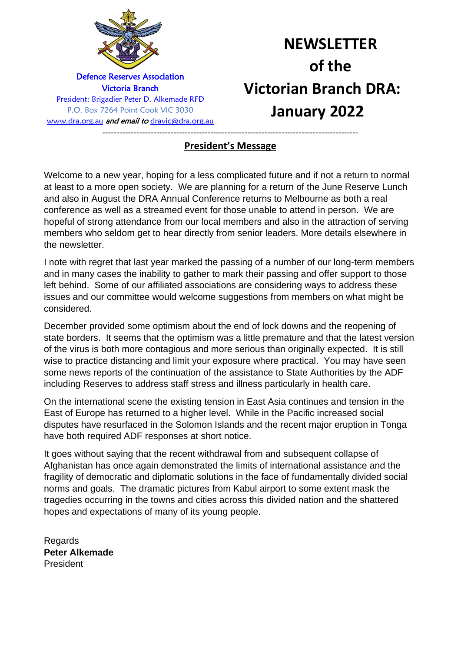

# **NEWSLETTER of the Victorian Branch DRA: January 2022**

## ------------------------------------------------------------------------------------------ **President's Message**

Welcome to a new year, hoping for a less complicated future and if not a return to normal at least to a more open society. We are planning for a return of the June Reserve Lunch and also in August the DRA Annual Conference returns to Melbourne as both a real conference as well as a streamed event for those unable to attend in person. We are hopeful of strong attendance from our local members and also in the attraction of serving members who seldom get to hear directly from senior leaders. More details elsewhere in the newsletter.

I note with regret that last year marked the passing of a number of our long-term members and in many cases the inability to gather to mark their passing and offer support to those left behind. Some of our affiliated associations are considering ways to address these issues and our committee would welcome suggestions from members on what might be considered.

December provided some optimism about the end of lock downs and the reopening of state borders. It seems that the optimism was a little premature and that the latest version of the virus is both more contagious and more serious than originally expected. It is still wise to practice distancing and limit your exposure where practical. You may have seen some news reports of the continuation of the assistance to State Authorities by the ADF including Reserves to address staff stress and illness particularly in health care.

On the international scene the existing tension in East Asia continues and tension in the East of Europe has returned to a higher level. While in the Pacific increased social disputes have resurfaced in the Solomon Islands and the recent major eruption in Tonga have both required ADF responses at short notice.

It goes without saying that the recent withdrawal from and subsequent collapse of Afghanistan has once again demonstrated the limits of international assistance and the fragility of democratic and diplomatic solutions in the face of fundamentally divided social norms and goals. The dramatic pictures from Kabul airport to some extent mask the tragedies occurring in the towns and cities across this divided nation and the shattered hopes and expectations of many of its young people.

Regards **Peter Alkemade** President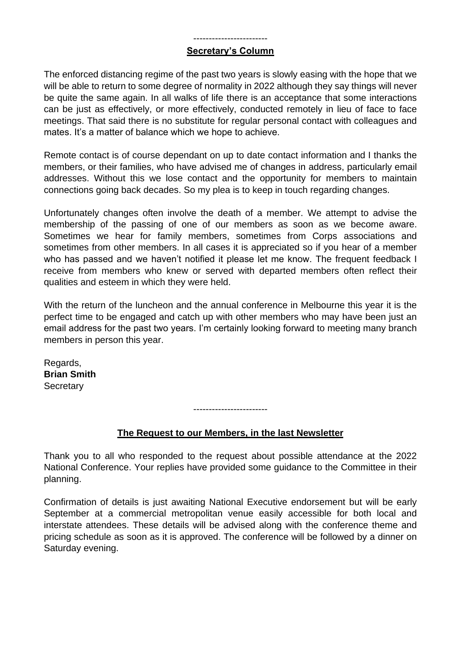#### ------------------------ **Secretary's Column**

The enforced distancing regime of the past two years is slowly easing with the hope that we will be able to return to some degree of normality in 2022 although they say things will never be quite the same again. In all walks of life there is an acceptance that some interactions can be just as effectively, or more effectively, conducted remotely in lieu of face to face meetings. That said there is no substitute for regular personal contact with colleagues and mates. It's a matter of balance which we hope to achieve.

Remote contact is of course dependant on up to date contact information and I thanks the members, or their families, who have advised me of changes in address, particularly email addresses. Without this we lose contact and the opportunity for members to maintain connections going back decades. So my plea is to keep in touch regarding changes.

Unfortunately changes often involve the death of a member. We attempt to advise the membership of the passing of one of our members as soon as we become aware. Sometimes we hear for family members, sometimes from Corps associations and sometimes from other members. In all cases it is appreciated so if you hear of a member who has passed and we haven't notified it please let me know. The frequent feedback I receive from members who knew or served with departed members often reflect their qualities and esteem in which they were held.

With the return of the luncheon and the annual conference in Melbourne this year it is the perfect time to be engaged and catch up with other members who may have been just an email address for the past two years. I'm certainly looking forward to meeting many branch members in person this year.

Regards, **Brian Smith Secretary** 

------------------------

## **The Request to our Members, in the last Newsletter**

Thank you to all who responded to the request about possible attendance at the 2022 National Conference. Your replies have provided some guidance to the Committee in their planning.

Confirmation of details is just awaiting National Executive endorsement but will be early September at a commercial metropolitan venue easily accessible for both local and interstate attendees. These details will be advised along with the conference theme and pricing schedule as soon as it is approved. The conference will be followed by a dinner on Saturday evening.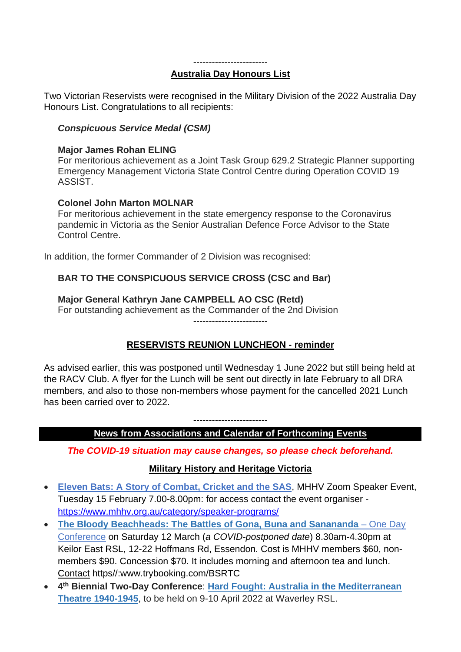#### ------------------------

#### **Australia Day Honours List**

Two Victorian Reservists were recognised in the Military Division of the 2022 Australia Day Honours List. Congratulations to all recipients:

## *Conspicuous Service Medal (CSM)*

## **Major James Rohan ELING**

For meritorious achievement as a Joint Task Group 629.2 Strategic Planner supporting Emergency Management Victoria State Control Centre during Operation COVID 19 ASSIST.

## **Colonel John Marton MOLNAR**

For meritorious achievement in the state emergency response to the Coronavirus pandemic in Victoria as the Senior Australian Defence Force Advisor to the State Control Centre.

In addition, the former Commander of 2 Division was recognised:

## **BAR TO THE CONSPICUOUS SERVICE CROSS (CSC and Bar)**

## **Major General Kathryn Jane CAMPBELL AO CSC (Retd)**

For outstanding achievement as the Commander of the 2nd Division ------------------------

## **RESERVISTS REUNION LUNCHEON - reminder**

As advised earlier, this was postponed until Wednesday 1 June 2022 but still being held at the RACV Club. A flyer for the Lunch will be sent out directly in late February to all DRA members, and also to those non-members whose payment for the cancelled 2021 Lunch has been carried over to 2022.

## ------------------------ **News from Associations and Calendar of Forthcoming Events**

## *The COVID-19 situation may cause changes, so please check beforehand.*

## **Military History and Heritage Victoria**

- **Eleven Bats: A Story of Combat, Cricket and the SAS**, MHHV Zoom Speaker Event, Tuesday 15 February 7.00-8.00pm: for access contact the event organiser <https://www.mhhv.org.au/category/speaker-programs/>
- **[The Bloody Beachheads: The Battles of Gona, Buna and Sanananda](https://mhhv.us13.list-manage.com/track/click?u=67dff6650263d83ccd36abb8e&id=d8b6a335d3&e=82e1d7de02)** One Day [Conference](https://mhhv.us13.list-manage.com/track/click?u=67dff6650263d83ccd36abb8e&id=d8b6a335d3&e=82e1d7de02) on Saturday 12 March (*a COVID-postponed date*) 8.30am-4.30pm at Keilor East RSL, 12-22 Hoffmans Rd, Essendon. Cost is MHHV members \$60, nonmembers \$90. Concession \$70. It includes morning and afternoon tea and lunch. Contact https//:www.trybooking.com/BSRTC
- **4 th Biennial Two-Day Conference**: **Hard Fought: Australia in the Mediterranean Theatre 1940-1945**, to be held on 9-10 April 2022 at Waverley RSL.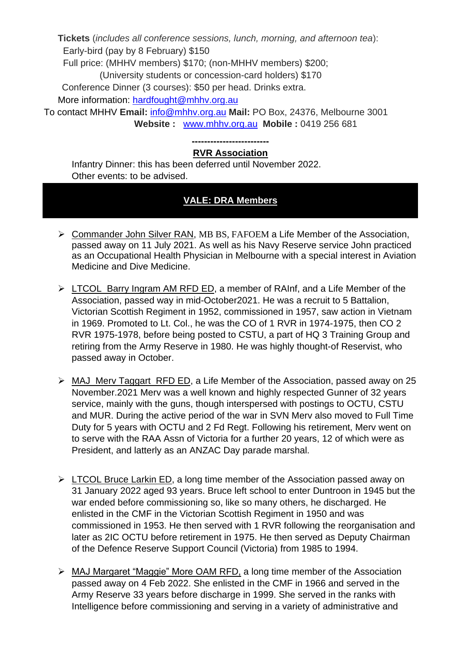**Tickets** (*includes all conference sessions, lunch, morning, and afternoon tea*): Early-bird (pay by 8 February) \$150

Full price: (MHHV members) \$170; (non-MHHV members) \$200;

(University students or concession-card holders) \$170

Conference Dinner (3 courses): \$50 per head. Drinks extra.

More information: [hardfought@mhhv.org.au](mailto:hardfought@mhhv.org.au)

To contact MHHV **Email:** [info@mhhv.org.au](mailto:info@mhhv.org.au) **Mail:** PO Box, 24376, Melbourne 3001  **Website :** [www.mhhv.org.au](http://www.mhhv.org.au/) **Mobile :** 0419 256 681

#### **------------------------- RVR Association**

Infantry Dinner: this has been deferred until November 2022. Other events: to be advised.

## **VALE: DRA Members**

- ➢ Commander John Silver RAN, MB BS, FAFOEM a Life Member of the Association, passed away on 11 July 2021. As well as his Navy Reserve service John practiced as an Occupational Health Physician in Melbourne with a special interest in [Aviation](https://healthengine.com.au/interest/Aviation-Medicine/VIC/) [Medicine](https://healthengine.com.au/interest/Aviation-Medicine/VIC/) and Dive [Medicine.](https://healthengine.com.au/interest/Dive-Medicine/VIC/)
- ➢ LTCOL Barry Ingram AM RFD ED, a member of RAInf, and a Life Member of the Association, passed way in mid-October2021. He was a recruit to 5 Battalion, Victorian Scottish Regiment in 1952, commissioned in 1957, saw action in Vietnam in 1969. Promoted to Lt. Col., he was the CO of 1 RVR in 1974-1975, then CO 2 RVR 1975-1978, before being posted to CSTU, a part of HQ 3 Training Group and retiring from the Army Reserve in 1980. He was highly thought-of Reservist, who passed away in October.
- ➢ MAJ Merv Taggart RFD ED, a Life Member of the Association, passed away on 25 November.2021 Merv was a well known and highly respected Gunner of 32 years service, mainly with the guns, though interspersed with postings to OCTU, CSTU and MUR. During the active period of the war in SVN Merv also moved to Full Time Duty for 5 years with OCTU and 2 Fd Regt. Following his retirement, Merv went on to serve with the RAA Assn of Victoria for a further 20 years, 12 of which were as President, and latterly as an ANZAC Day parade marshal.
- ➢ LTCOL Bruce Larkin ED, a long time member of the Association passed away on 31 January 2022 aged 93 years. Bruce left school to enter Duntroon in 1945 but the war ended before commissioning so, like so many others, he discharged. He enlisted in the CMF in the Victorian Scottish Regiment in 1950 and was commissioned in 1953. He then served with 1 RVR following the reorganisation and later as 2IC OCTU before retirement in 1975. He then served as Deputy Chairman of the Defence Reserve Support Council (Victoria) from 1985 to 1994.
- ➢ MAJ Margaret "Maggie" More OAM RFD, a long time member of the Association passed away on 4 Feb 2022. She enlisted in the CMF in 1966 and served in the Army Reserve 33 years before discharge in 1999. She served in the ranks with Intelligence before commissioning and serving in a variety of administrative and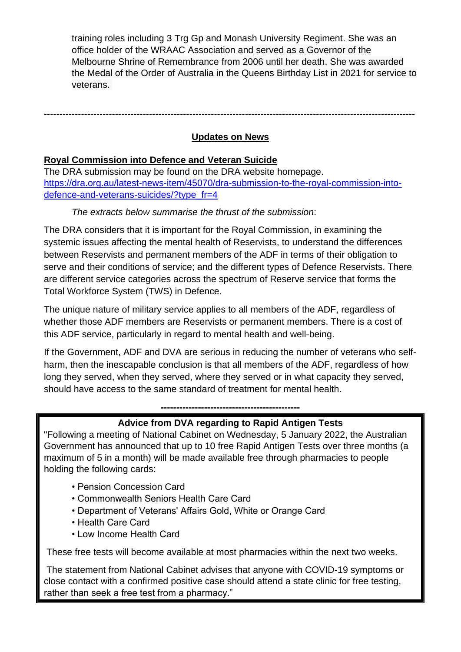training roles including 3 Trg Gp and Monash University Regiment. She was an office holder of the WRAAC Association and served as a Governor of the Melbourne Shrine of Remembrance from 2006 until her death. She was awarded the Medal of the Order of Australia in the Queens Birthday List in 2021 for service to veterans.

------------------------------------------------------------------------------------------------------------------------

## **Updates on News**

## **Royal Commission into Defence and Veteran Suicide**

The DRA submission may be found on the DRA website homepage. [https://dra.org.au/latest-news-item/45070/dra-submission-to-the-royal-commission-into](https://dra.org.au/latest-news-item/45070/dra-submission-to-the-royal-commission-into-defence-and-veterans-suicides/?type_fr=4)[defence-and-veterans-suicides/?type\\_fr=4](https://dra.org.au/latest-news-item/45070/dra-submission-to-the-royal-commission-into-defence-and-veterans-suicides/?type_fr=4)

## *The extracts below summarise the thrust of the submission*:

The DRA considers that it is important for the Royal Commission, in examining the systemic issues affecting the mental health of Reservists, to understand the differences between Reservists and permanent members of the ADF in terms of their obligation to serve and their conditions of service; and the different types of Defence Reservists. There are different service categories across the spectrum of Reserve service that forms the Total Workforce System (TWS) in Defence.

The unique nature of military service applies to all members of the ADF, regardless of whether those ADF members are Reservists or permanent members. There is a cost of this ADF service, particularly in regard to mental health and well-being.

If the Government, ADF and DVA are serious in reducing the number of veterans who selfharm, then the inescapable conclusion is that all members of the ADF, regardless of how long they served, when they served, where they served or in what capacity they served, should have access to the same standard of treatment for mental health.

**---------------------------------------------**

## **Advice from DVA regarding to Rapid Antigen Tests**

"Following a meeting of National Cabinet on Wednesday, 5 January 2022, the Australian Government has announced that up to 10 free Rapid Antigen Tests over three months (a maximum of 5 in a month) will be made available free through pharmacies to people holding the following cards:

- Pension Concession Card
- Commonwealth Seniors Health Care Card
- Department of Veterans' Affairs Gold, White or Orange Card
- Health Care Card
- Low Income Health Card

These free tests will become available at most pharmacies within the next two weeks.

The statement from National Cabinet advises that anyone with COVID-19 symptoms or close contact with a confirmed positive case should attend a state clinic for free testing, rather than seek a free test from a pharmacy."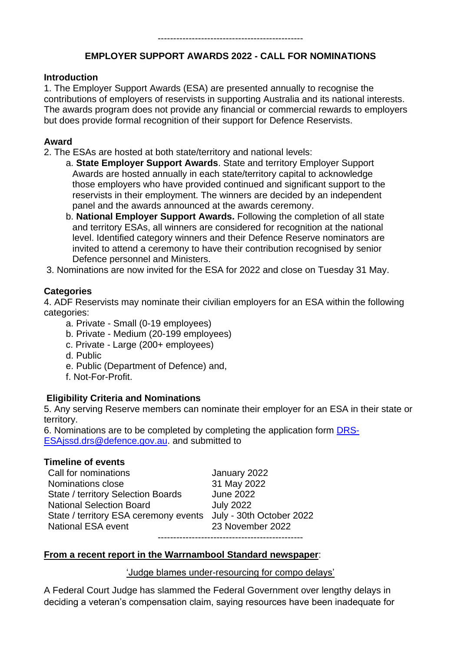## **EMPLOYER SUPPORT AWARDS 2022 - CALL FOR NOMINATIONS**

#### **Introduction**

1. The Employer Support Awards (ESA) are presented annually to recognise the contributions of employers of reservists in supporting Australia and its national interests. The awards program does not provide any financial or commercial rewards to employers but does provide formal recognition of their support for Defence Reservists.

## **Award**

2. The ESAs are hosted at both state/territory and national levels:

- a. **State Employer Support Awards**. State and territory Employer Support Awards are hosted annually in each state/territory capital to acknowledge those employers who have provided continued and significant support to the reservists in their employment. The winners are decided by an independent panel and the awards announced at the awards ceremony.
- b. **National Employer Support Awards.** Following the completion of all state and territory ESAs, all winners are considered for recognition at the national level. Identified category winners and their Defence Reserve nominators are invited to attend a ceremony to have their contribution recognised by senior Defence personnel and Ministers.
- 3. Nominations are now invited for the ESA for 2022 and close on Tuesday 31 May.

## **Categories**

4. ADF Reservists may nominate their civilian employers for an ESA within the following categories:

- a. Private Small (0-19 employees)
- b. Private Medium (20-199 employees)
- c. Private Large (200+ employees)
- d. Public
- e. Public (Department of Defence) and,
- f. Not-For-Profit.

## **Eligibility Criteria and Nominations**

5. Any serving Reserve members can nominate their employer for an ESA in their state or territory.

6. Nominations are to be completed by completing the application form [DRS-](mailto:DRS-ESAjssd.drs@defence.gov.au)[ESAjssd.drs@defence.gov.au.](mailto:DRS-ESAjssd.drs@defence.gov.au) and submitted to

## **Timeline of events**

Call for nominations January 2022 Nominations close 31 May 2022 State / territory Selection Boards June 2022 National Selection Board **July 2022** State / territory ESA ceremony events July - 30th October 2022 National ESA event 23 November 2022 -----------------------------------------------

## **From a recent report in the Warrnambool Standard newspaper**:

'Judge blames under-resourcing for compo delays'

A Federal Court Judge has slammed the Federal Government over lengthy delays in deciding a veteran's compensation claim, saying resources have been inadequate for